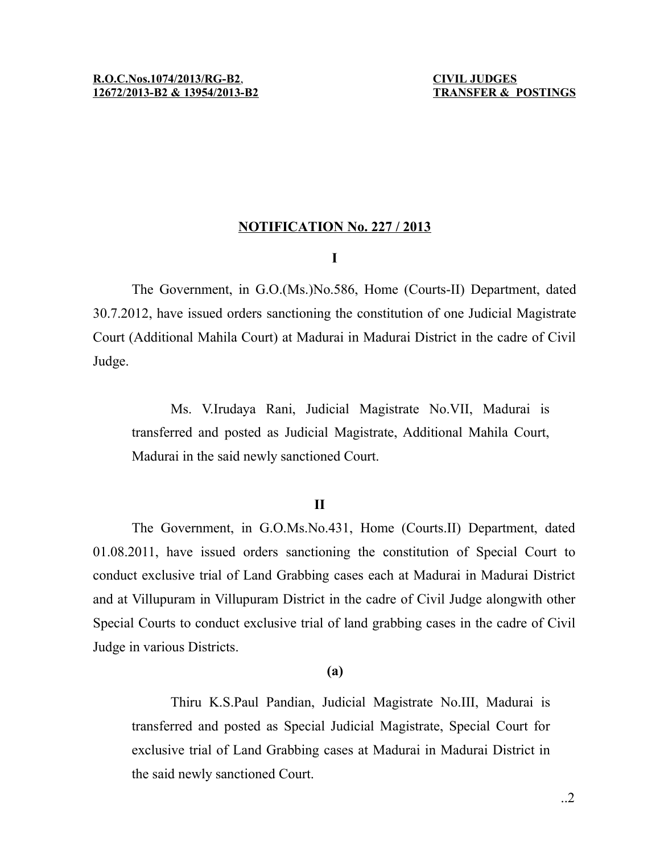## **NOTIFICATION No. 227 / 2013**

## **I**

The Government, in G.O.(Ms.)No.586, Home (Courts-II) Department, dated 30.7.2012, have issued orders sanctioning the constitution of one Judicial Magistrate Court (Additional Mahila Court) at Madurai in Madurai District in the cadre of Civil Judge.

Ms. V.Irudaya Rani, Judicial Magistrate No.VII, Madurai is transferred and posted as Judicial Magistrate, Additional Mahila Court, Madurai in the said newly sanctioned Court.

## **II**

The Government, in G.O.Ms.No.431, Home (Courts.II) Department, dated 01.08.2011, have issued orders sanctioning the constitution of Special Court to conduct exclusive trial of Land Grabbing cases each at Madurai in Madurai District and at Villupuram in Villupuram District in the cadre of Civil Judge alongwith other Special Courts to conduct exclusive trial of land grabbing cases in the cadre of Civil Judge in various Districts.

# **(a)**

Thiru K.S.Paul Pandian, Judicial Magistrate No.III, Madurai is transferred and posted as Special Judicial Magistrate, Special Court for exclusive trial of Land Grabbing cases at Madurai in Madurai District in the said newly sanctioned Court.